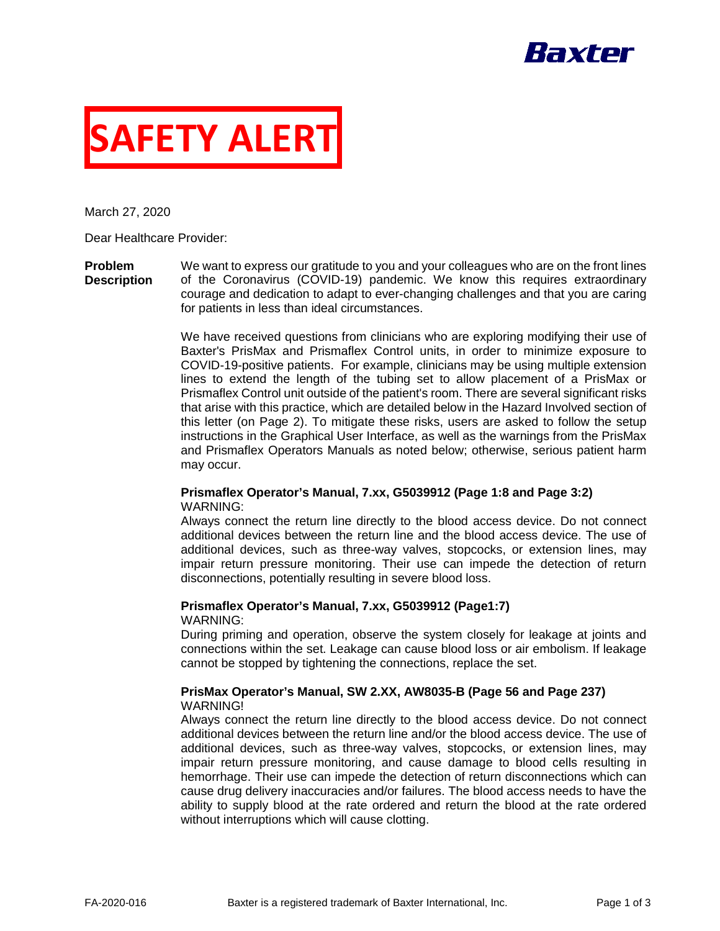



March 27, 2020

Dear Healthcare Provider:

**Problem Description**  We want to express our gratitude to you and your colleagues who are on the front lines of the Coronavirus (COVID-19) pandemic. We know this requires extraordinary courage and dedication to adapt to ever-changing challenges and that you are caring for patients in less than ideal circumstances.

> We have received questions from clinicians who are exploring modifying their use of Baxter's PrisMax and Prismaflex Control units, in order to minimize exposure to COVID-19-positive patients. For example, clinicians may be using multiple extension lines to extend the length of the tubing set to allow placement of a PrisMax or Prismaflex Control unit outside of the patient's room. There are several significant risks that arise with this practice, which are detailed below in the Hazard Involved section of this letter (on Page 2). To mitigate these risks, users are asked to follow the setup instructions in the Graphical User Interface, as well as the warnings from the PrisMax and Prismaflex Operators Manuals as noted below; otherwise, serious patient harm may occur.

## **Prismaflex Operator's Manual, 7.xx, G5039912 (Page 1:8 and Page 3:2)**  WARNING:

Always connect the return line directly to the blood access device. Do not connect additional devices between the return line and the blood access device. The use of additional devices, such as three-way valves, stopcocks, or extension lines, may impair return pressure monitoring. Their use can impede the detection of return disconnections, potentially resulting in severe blood loss.

## **Prismaflex Operator's Manual, 7.xx, G5039912 (Page1:7)**  WARNING:

During priming and operation, observe the system closely for leakage at joints and connections within the set. Leakage can cause blood loss or air embolism. If leakage cannot be stopped by tightening the connections, replace the set.

## **PrisMax Operator's Manual, SW 2.XX, AW8035-B (Page 56 and Page 237)**  WARNING!

Always connect the return line directly to the blood access device. Do not connect additional devices between the return line and/or the blood access device. The use of additional devices, such as three-way valves, stopcocks, or extension lines, may impair return pressure monitoring, and cause damage to blood cells resulting in hemorrhage. Their use can impede the detection of return disconnections which can cause drug delivery inaccuracies and/or failures. The blood access needs to have the ability to supply blood at the rate ordered and return the blood at the rate ordered without interruptions which will cause clotting.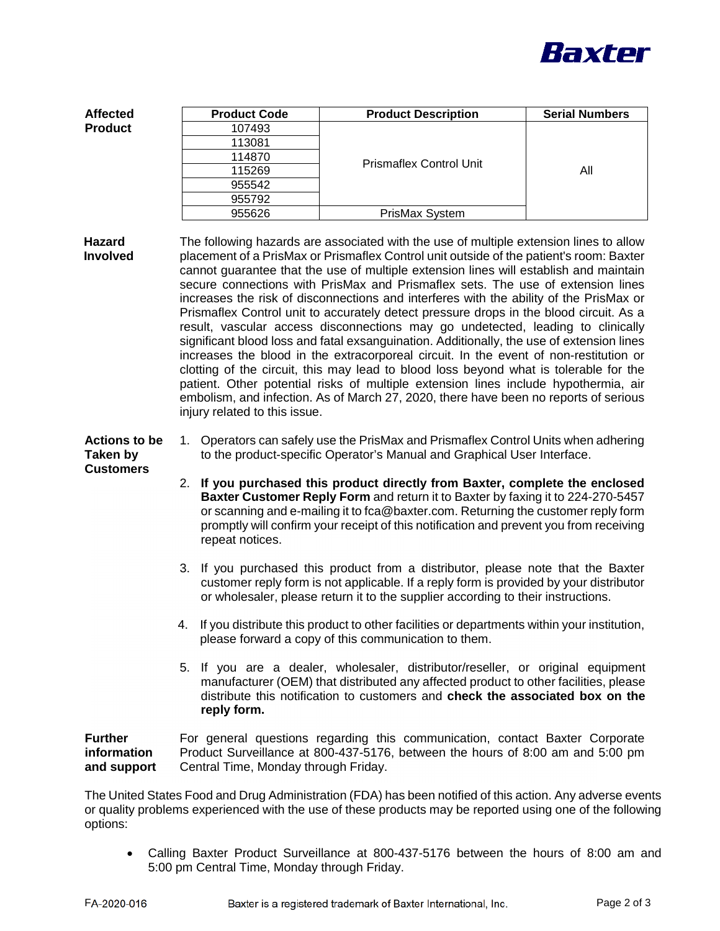

| <b>Affected</b>                                      | <b>Product Code</b>                                                                                                                                                                                                                                                                                                                                                                                                                                                                                                                                                                                                                                                                                                                                                                                                                                                                                                                                                                                                                                                                                                                 | <b>Product Description</b>                                                                                                                                                                                             | <b>Serial Numbers</b> |
|------------------------------------------------------|-------------------------------------------------------------------------------------------------------------------------------------------------------------------------------------------------------------------------------------------------------------------------------------------------------------------------------------------------------------------------------------------------------------------------------------------------------------------------------------------------------------------------------------------------------------------------------------------------------------------------------------------------------------------------------------------------------------------------------------------------------------------------------------------------------------------------------------------------------------------------------------------------------------------------------------------------------------------------------------------------------------------------------------------------------------------------------------------------------------------------------------|------------------------------------------------------------------------------------------------------------------------------------------------------------------------------------------------------------------------|-----------------------|
| <b>Product</b>                                       | 107493                                                                                                                                                                                                                                                                                                                                                                                                                                                                                                                                                                                                                                                                                                                                                                                                                                                                                                                                                                                                                                                                                                                              |                                                                                                                                                                                                                        |                       |
|                                                      | 113081                                                                                                                                                                                                                                                                                                                                                                                                                                                                                                                                                                                                                                                                                                                                                                                                                                                                                                                                                                                                                                                                                                                              | <b>Prismaflex Control Unit</b><br>All                                                                                                                                                                                  |                       |
|                                                      | 114870                                                                                                                                                                                                                                                                                                                                                                                                                                                                                                                                                                                                                                                                                                                                                                                                                                                                                                                                                                                                                                                                                                                              |                                                                                                                                                                                                                        |                       |
|                                                      | 115269                                                                                                                                                                                                                                                                                                                                                                                                                                                                                                                                                                                                                                                                                                                                                                                                                                                                                                                                                                                                                                                                                                                              |                                                                                                                                                                                                                        |                       |
|                                                      | 955542                                                                                                                                                                                                                                                                                                                                                                                                                                                                                                                                                                                                                                                                                                                                                                                                                                                                                                                                                                                                                                                                                                                              |                                                                                                                                                                                                                        |                       |
|                                                      | 955792                                                                                                                                                                                                                                                                                                                                                                                                                                                                                                                                                                                                                                                                                                                                                                                                                                                                                                                                                                                                                                                                                                                              |                                                                                                                                                                                                                        |                       |
|                                                      | 955626                                                                                                                                                                                                                                                                                                                                                                                                                                                                                                                                                                                                                                                                                                                                                                                                                                                                                                                                                                                                                                                                                                                              | PrisMax System                                                                                                                                                                                                         |                       |
| <b>Hazard</b><br><b>Involved</b>                     | The following hazards are associated with the use of multiple extension lines to allow<br>placement of a PrisMax or Prismaflex Control unit outside of the patient's room: Baxter<br>cannot guarantee that the use of multiple extension lines will establish and maintain<br>secure connections with PrisMax and Prismaflex sets. The use of extension lines<br>increases the risk of disconnections and interferes with the ability of the PrisMax or<br>Prismaflex Control unit to accurately detect pressure drops in the blood circuit. As a<br>result, vascular access disconnections may go undetected, leading to clinically<br>significant blood loss and fatal exsanguination. Additionally, the use of extension lines<br>increases the blood in the extracorporeal circuit. In the event of non-restitution or<br>clotting of the circuit, this may lead to blood loss beyond what is tolerable for the<br>patient. Other potential risks of multiple extension lines include hypothermia, air<br>embolism, and infection. As of March 27, 2020, there have been no reports of serious<br>injury related to this issue. |                                                                                                                                                                                                                        |                       |
| <b>Actions to be</b><br>Taken by<br><b>Customers</b> | 1. Operators can safely use the PrisMax and Prismaflex Control Units when adhering<br>to the product-specific Operator's Manual and Graphical User Interface.                                                                                                                                                                                                                                                                                                                                                                                                                                                                                                                                                                                                                                                                                                                                                                                                                                                                                                                                                                       |                                                                                                                                                                                                                        |                       |
|                                                      | 2. If you purchased this product directly from Baxter, complete the enclosed<br>Baxter Customer Reply Form and return it to Baxter by faxing it to 224-270-5457<br>or scanning and e-mailing it to fca@baxter.com. Returning the customer reply form<br>promptly will confirm your receipt of this notification and prevent you from receiving<br>repeat notices.                                                                                                                                                                                                                                                                                                                                                                                                                                                                                                                                                                                                                                                                                                                                                                   |                                                                                                                                                                                                                        |                       |
|                                                      | 3. If you purchased this product from a distributor, please note that the Baxter<br>customer reply form is not applicable. If a reply form is provided by your distributor<br>or wholesaler, please return it to the supplier according to their instructions.                                                                                                                                                                                                                                                                                                                                                                                                                                                                                                                                                                                                                                                                                                                                                                                                                                                                      |                                                                                                                                                                                                                        |                       |
|                                                      | 4. If you distribute this product to other facilities or departments within your institution,<br>please forward a copy of this communication to them.                                                                                                                                                                                                                                                                                                                                                                                                                                                                                                                                                                                                                                                                                                                                                                                                                                                                                                                                                                               |                                                                                                                                                                                                                        |                       |
|                                                      | 5. If you are a dealer, wholesaler, distributor/reseller, or original equipment<br>manufacturer (OEM) that distributed any affected product to other facilities, please<br>distribute this notification to customers and check the associated box on the<br>reply form.                                                                                                                                                                                                                                                                                                                                                                                                                                                                                                                                                                                                                                                                                                                                                                                                                                                             |                                                                                                                                                                                                                        |                       |
| <b>Further</b><br>information<br>and support         | For general questions regarding this communication, contact Baxter Corporate<br>Product Surveillance at 800-437-5176, between the hours of 8:00 am and 5:00 pm<br>Central Time, Monday through Friday.                                                                                                                                                                                                                                                                                                                                                                                                                                                                                                                                                                                                                                                                                                                                                                                                                                                                                                                              |                                                                                                                                                                                                                        |                       |
|                                                      |                                                                                                                                                                                                                                                                                                                                                                                                                                                                                                                                                                                                                                                                                                                                                                                                                                                                                                                                                                                                                                                                                                                                     | The United States Food and Drug Administration (FDA) has been notified of this action. Any adverse events<br>or quality problems experienced with the use of these products may be reported using one of the following |                       |

 Calling Baxter Product Surveillance at 800-437-5176 between the hours of 8:00 am and 5:00 pm Central Time, Monday through Friday.

options: